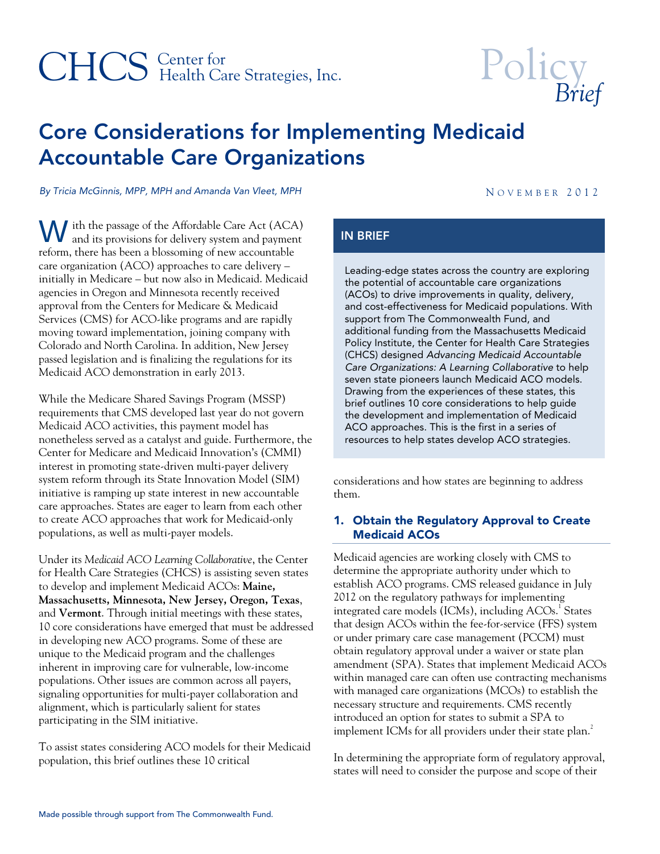## CHCS Health Care Strategies, Inc.

# Policy<sub>Brief</sub>

### Core Considerations for Implementing Medicaid Accountable Care Organizations

*By Tricia McGinnis, MPP, MPH and Amanda Van Vleet, MPH* And Amanda Van Veet, MPH N OVEMBER 2012

**W** ith the passage of the Affordable Care Act (ACA) and its provisions for delivery system and payment and its provisions for delivery system and payment reform, there has been a blossoming of new accountable care organization (ACO) approaches to care delivery – initially in Medicare – but now also in Medicaid. Medicaid agencies in Oregon and Minnesota recently received approval from the Centers for Medicare & Medicaid Services (CMS) for ACO-like programs and are rapidly moving toward implementation, joining company with Colorado and North Carolina. In addition, New Jersey passed legislation and is finalizing the regulations for its Medicaid ACO demonstration in early 2013.

While the Medicare Shared Savings Program (MSSP) requirements that CMS developed last year do not govern Medicaid ACO activities, this payment model has nonetheless served as a catalyst and guide. Furthermore, the Center for Medicare and Medicaid Innovation's (CMMI) interest in promoting state-driven multi-payer delivery system reform through its State Innovation Model (SIM) initiative is ramping up state interest in new accountable care approaches. States are eager to learn from each other to create ACO approaches that work for Medicaid-only populations, as well as multi-payer models.

Under its *Medicaid ACO Learning Collaborative*, the Center for Health Care Strategies (CHCS) is assisting seven states to develop and implement Medicaid ACOs: **Maine, Massachusetts, Minnesota, New Jersey, Oregon, Texas**, and **Vermont**. Through initial meetings with these states, 10 core considerations have emerged that must be addressed in developing new ACO programs. Some of these are unique to the Medicaid program and the challenges inherent in improving care for vulnerable, low-income populations. Other issues are common across all payers, signaling opportunities for multi-payer collaboration and alignment, which is particularly salient for states participating in the SIM initiative.

To assist states considering ACO models for their Medicaid population, this brief outlines these 10 critical

#### IN BRIEF

Leading-edge states across the country are exploring the potential of accountable care organizations (ACOs) to drive improvements in quality, delivery, and cost-effectiveness for Medicaid populations. With support from The Commonwealth Fund, and additional funding from the Massachusetts Medicaid Policy Institute, the Center for Health Care Strategies (CHCS) designed *Advancing Medicaid Accountable Care Organizations: A Learning Collaborative* to help seven state pioneers launch Medicaid ACO models. Drawing from the experiences of these states, this brief outlines 10 core considerations to help guide the development and implementation of Medicaid ACO approaches. This is the first in a series of resources to help states develop ACO strategies.

considerations and how states are beginning to address them.

#### 1. Obtain the Regulatory Approval to Create Medicaid ACOs

Medicaid agencies are working closely with CMS to determine the appropriate authority under which to establish ACO programs. CMS released guidance in July 2012 on the regulatory pathways for implementing integrated care models (ICMs), including ACOs.<sup>1</sup> States that design ACOs within the fee-for-service (FFS) system or under primary care case management (PCCM) must obtain regulatory approval under a waiver or state plan amendment (SPA). States that implement Medicaid ACOs within managed care can often use contracting mechanisms with managed care organizations (MCOs) to establish the necessary structure and requirements. CMS recently introduced an option for states to submit a SPA to implement ICMs for all providers under their state plan. $^2$ 

In determining the appropriate form of regulatory approval, states will need to consider the purpose and scope of their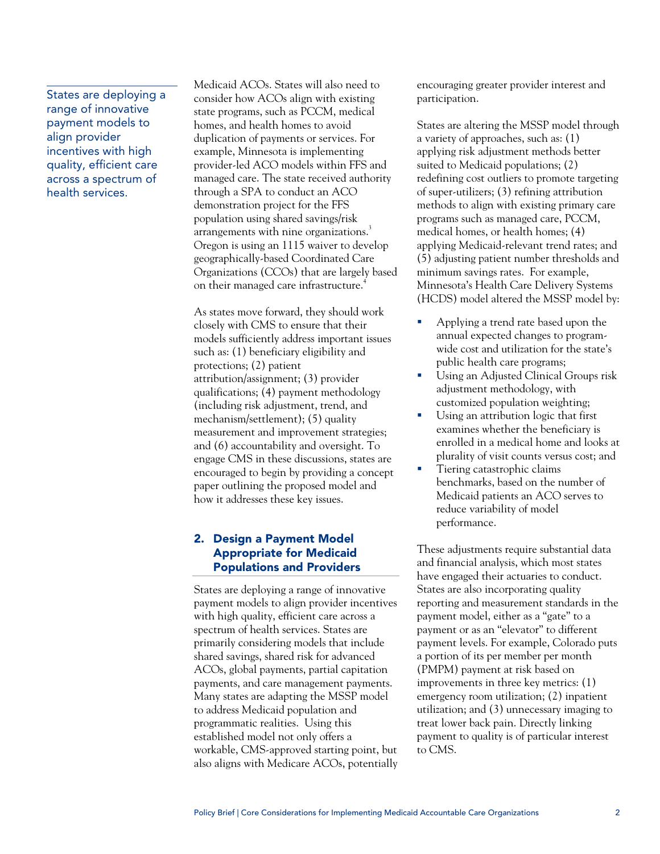States are deploying a range of innovative payment models to align provider incentives with high quality, efficient care across a spectrum of health services.

Medicaid ACOs. States will also need to consider how ACOs align with existing state programs, such as PCCM, medical homes, and health homes to avoid duplication of payments or services. For example, Minnesota is implementing provider-led ACO models within FFS and managed care. The state received authority through a SPA to conduct an ACO demonstration project for the FFS population using shared savings/risk arrangements with nine organizations.<sup>3</sup> Oregon is using an 1115 waiver to develop geographically-based Coordinated Care Organizations (CCOs) that are largely based on their managed care infrastructure.<sup>4</sup>

As states move forward, they should work closely with CMS to ensure that their models sufficiently address important issues such as: (1) beneficiary eligibility and protections; (2) patient attribution/assignment; (3) provider qualifications; (4) payment methodology (including risk adjustment, trend, and mechanism/settlement); (5) quality measurement and improvement strategies; and (6) accountability and oversight. To engage CMS in these discussions, states are encouraged to begin by providing a concept paper outlining the proposed model and how it addresses these key issues.

#### 2. Design a Payment Model Appropriate for Medicaid Populations and Providers

States are deploying a range of innovative payment models to align provider incentives with high quality, efficient care across a spectrum of health services. States are primarily considering models that include shared savings, shared risk for advanced ACOs, global payments, partial capitation payments, and care management payments. Many states are adapting the MSSP model to address Medicaid population and programmatic realities. Using this established model not only offers a workable, CMS-approved starting point, but also aligns with Medicare ACOs, potentially encouraging greater provider interest and participation.

States are altering the MSSP model through a variety of approaches, such as: (1) applying risk adjustment methods better suited to Medicaid populations; (2) redefining cost outliers to promote targeting of super-utilizers; (3) refining attribution methods to align with existing primary care programs such as managed care, PCCM, medical homes, or health homes; (4) applying Medicaid-relevant trend rates; and (5) adjusting patient number thresholds and minimum savings rates. For example, Minnesota's Health Care Delivery Systems (HCDS) model altered the MSSP model by:

- Applying a trend rate based upon the annual expected changes to programwide cost and utilization for the state's public health care programs;
- **Using an Adjusted Clinical Groups risk** adjustment methodology, with customized population weighting;
- Using an attribution logic that first examines whether the beneficiary is enrolled in a medical home and looks at plurality of visit counts versus cost; and
- Tiering catastrophic claims benchmarks, based on the number of Medicaid patients an ACO serves to reduce variability of model performance.

These adjustments require substantial data and financial analysis, which most states have engaged their actuaries to conduct. States are also incorporating quality reporting and measurement standards in the payment model, either as a "gate" to a payment or as an "elevator" to different payment levels. For example, Colorado puts a portion of its per member per month (PMPM) payment at risk based on improvements in three key metrics: (1) emergency room utilization; (2) inpatient utilization; and (3) unnecessary imaging to treat lower back pain. Directly linking payment to quality is of particular interest to CMS.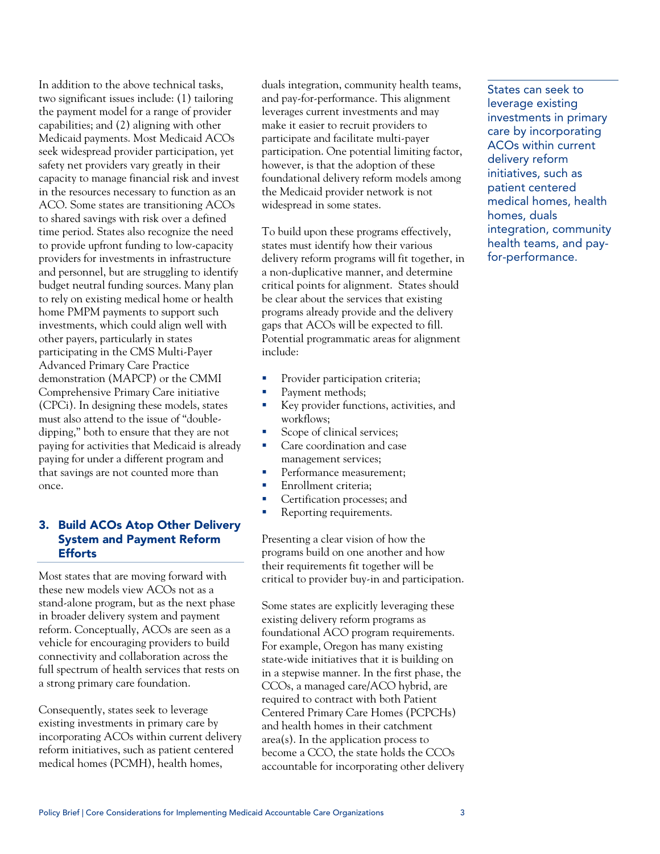In addition to the above technical tasks, two significant issues include: (1) tailoring the payment model for a range of provider capabilities; and (2) aligning with other Medicaid payments. Most Medicaid ACOs seek widespread provider participation, yet safety net providers vary greatly in their capacity to manage financial risk and invest in the resources necessary to function as an ACO. Some states are transitioning ACOs to shared savings with risk over a defined time period. States also recognize the need to provide upfront funding to low-capacity providers for investments in infrastructure and personnel, but are struggling to identify budget neutral funding sources. Many plan to rely on existing medical home or health home PMPM payments to support such investments, which could align well with other payers, particularly in states participating in the CMS Multi-Payer Advanced Primary Care Practice demonstration (MAPCP) or the CMMI Comprehensive Primary Care initiative (CPCi). In designing these models, states must also attend to the issue of "doubledipping," both to ensure that they are not paying for activities that Medicaid is already paying for under a different program and that savings are not counted more than once.

#### 3. Build ACOs Atop Other Delivery System and Payment Reform **Efforts**

Most states that are moving forward with these new models view ACOs not as a stand-alone program, but as the next phase in broader delivery system and payment reform. Conceptually, ACOs are seen as a vehicle for encouraging providers to build connectivity and collaboration across the full spectrum of health services that rests on a strong primary care foundation.

Consequently, states seek to leverage existing investments in primary care by incorporating ACOs within current delivery reform initiatives, such as patient centered medical homes (PCMH), health homes,

duals integration, community health teams, and pay-for-performance. This alignment leverages current investments and may make it easier to recruit providers to participate and facilitate multi-payer participation. One potential limiting factor, however, is that the adoption of these foundational delivery reform models among the Medicaid provider network is not widespread in some states.

To build upon these programs effectively, states must identify how their various delivery reform programs will fit together, in a non-duplicative manner, and determine critical points for alignment. States should be clear about the services that existing programs already provide and the delivery gaps that ACOs will be expected to fill. Potential programmatic areas for alignment include:

- **Provider participation criteria;**
- Payment methods;
- Key provider functions, activities, and workflows;
- Scope of clinical services;
- **Care coordination and case** management services;
- **Performance measurement;**
- Enrollment criteria;
- **Certification processes; and**
- Reporting requirements.

Presenting a clear vision of how the programs build on one another and how their requirements fit together will be critical to provider buy-in and participation.

Some states are explicitly leveraging these existing delivery reform programs as foundational ACO program requirements. For example, Oregon has many existing state-wide initiatives that it is building on in a stepwise manner. In the first phase, the CCOs, a managed care/ACO hybrid, are required to contract with both Patient Centered Primary Care Homes (PCPCHs) and health homes in their catchment area(s). In the application process to become a CCO, the state holds the CCOs accountable for incorporating other delivery

States can seek to leverage existing investments in primary care by incorporating ACOs within current delivery reform initiatives, such as patient centered medical homes, health homes, duals integration, community health teams, and payfor-performance.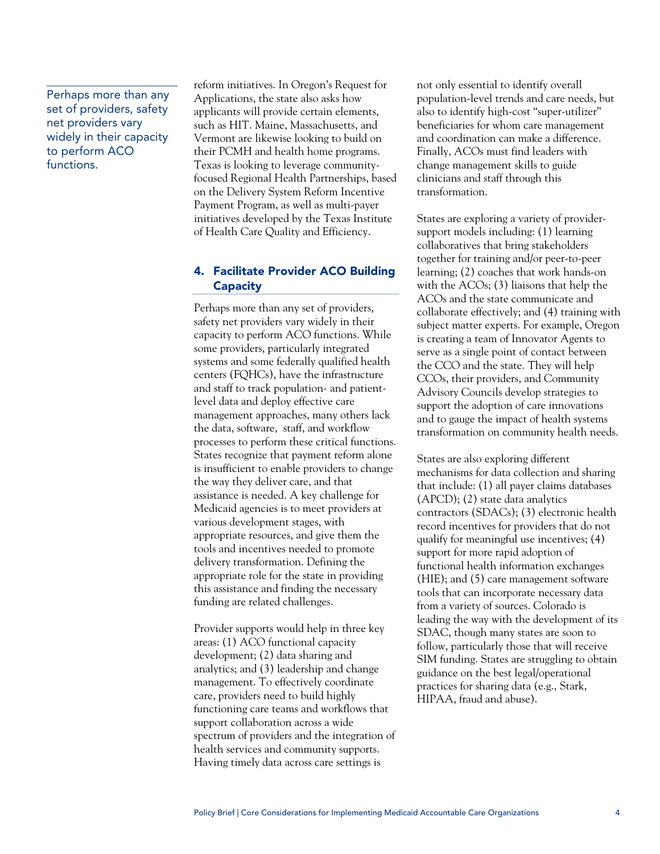Perhaps more than any set of providers, safety net providers vary widely in their capacity to perform ACO functions.

reform initiatives. In Oregon's Request for Applications, the state also asks how applicants will provide certain elements, such as HIT. Maine, Massachusetts, and Vermont are likewise looking to build on their PCMH and health home programs. Texas is looking to leverage communityfocused Regional Health Partnerships, based on the Delivery System Reform Incentive Payment Program, as well as multi-payer initiatives developed by the Texas Institute of Health Care Quality and Efficiency.

#### 4. Facilitate Provider ACO Building **Capacity**

Perhaps more than any set of providers, safety net providers vary widely in their capacity to perform ACO functions. While some providers, particularly integrated systems and some federally qualified health centers (FQHCs), have the infrastructure and staff to track population- and patientlevel data and deploy effective care management approaches, many others lack the data, software, staff, and workflow processes to perform these critical functions. States recognize that payment reform alone is insufficient to enable providers to change the way they deliver care, and that assistance is needed. A key challenge for Medicaid agencies is to meet providers at various development stages, with appropriate resources, and give them the tools and incentives needed to promote delivery transformation. Defining the appropriate role for the state in providing this assistance and finding the necessary funding are related challenges.

Provider supports would help in three key areas: (1) ACO functional capacity development; (2) data sharing and analytics; and (3) leadership and change management. To effectively coordinate care, providers need to build highly functioning care teams and workflows that support collaboration across a wide spectrum of providers and the integration of health services and community supports. Having timely data across care settings is

not only essential to identify overall population-level trends and care needs, but also to identify high-cost "super-utilizer" beneficiaries for whom care management and coordination can make a difference. Finally, ACOs must find leaders with change management skills to guide clinicians and staff through this transformation.

States are exploring a variety of providersupport models including: (1) learning collaboratives that bring stakeholders together for training and/or peer-to-peer learning; (2) coaches that work hands-on with the ACOs; (3) liaisons that help the ACOs and the state communicate and collaborate effectively; and (4) training with subject matter experts. For example, Oregon is creating a team of Innovator Agents to serve as a single point of contact between the CCO and the state. They will help CCOs, their providers, and Community Advisory Councils develop strategies to support the adoption of care innovations and to gauge the impact of health systems transformation on community health needs.

States are also exploring different mechanisms for data collection and sharing that include: (1) all payer claims databases (APCD); (2) state data analytics contractors (SDACs); (3) electronic health record incentives for providers that do not qualify for meaningful use incentives; (4) support for more rapid adoption of functional health information exchanges (HIE); and (5) care management software tools that can incorporate necessary data from a variety of sources. Colorado is leading the way with the development of its SDAC, though many states are soon to follow, particularly those that will receive SIM funding. States are struggling to obtain guidance on the best legal/operational practices for sharing data (e.g., Stark, HIPAA, fraud and abuse).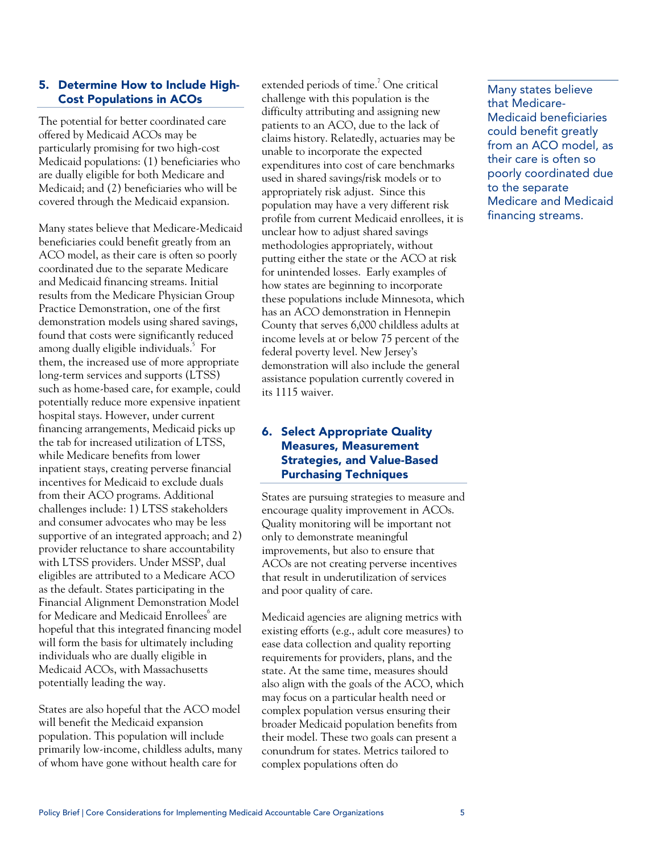#### 5. Determine How to Include High-Cost Populations in ACOs

The potential for better coordinated care offered by Medicaid ACOs may be particularly promising for two high-cost Medicaid populations: (1) beneficiaries who are dually eligible for both Medicare and Medicaid; and (2) beneficiaries who will be covered through the Medicaid expansion.

Many states believe that Medicare-Medicaid beneficiaries could benefit greatly from an ACO model, as their care is often so poorly coordinated due to the separate Medicare and Medicaid financing streams. Initial results from the Medicare Physician Group Practice Demonstration, one of the first demonstration models using shared savings, found that costs were significantly reduced among dually eligible individuals.<sup>5</sup> For them, the increased use of more appropriate long-term services and supports (LTSS) such as home-based care, for example, could potentially reduce more expensive inpatient hospital stays. However, under current financing arrangements, Medicaid picks up the tab for increased utilization of LTSS, while Medicare benefits from lower inpatient stays, creating perverse financial incentives for Medicaid to exclude duals from their ACO programs. Additional challenges include: 1) LTSS stakeholders and consumer advocates who may be less supportive of an integrated approach; and 2) provider reluctance to share accountability with LTSS providers. Under MSSP, dual eligibles are attributed to a Medicare ACO as the default. States participating in the Financial Alignment Demonstration Model for Medicare and Medicaid Enrollees $\degree$  are hopeful that this integrated financing model will form the basis for ultimately including individuals who are dually eligible in Medicaid ACOs, with Massachusetts potentially leading the way.

States are also hopeful that the ACO model will benefit the Medicaid expansion population. This population will include primarily low-income, childless adults, many of whom have gone without health care for

extended periods of time.<sup>7</sup> One critical challenge with this population is the difficulty attributing and assigning new patients to an ACO, due to the lack of claims history. Relatedly, actuaries may be unable to incorporate the expected expenditures into cost of care benchmarks used in shared savings/risk models or to appropriately risk adjust. Since this population may have a very different risk profile from current Medicaid enrollees, it is unclear how to adjust shared savings methodologies appropriately, without putting either the state or the ACO at risk for unintended losses. Early examples of how states are beginning to incorporate these populations include Minnesota, which has an ACO demonstration in Hennepin County that serves 6,000 childless adults at income levels at or below 75 percent of the federal poverty level. New Jersey's demonstration will also include the general assistance population currently covered in its 1115 waiver.

#### 6. Select Appropriate Quality Measures, Measurement Strategies, and Value-Based Purchasing Techniques

States are pursuing strategies to measure and encourage quality improvement in ACOs. Quality monitoring will be important not only to demonstrate meaningful improvements, but also to ensure that ACOs are not creating perverse incentives that result in underutilization of services and poor quality of care.

Medicaid agencies are aligning metrics with existing efforts (e.g., adult core measures) to ease data collection and quality reporting requirements for providers, plans, and the state. At the same time, measures should also align with the goals of the ACO, which may focus on a particular health need or complex population versus ensuring their broader Medicaid population benefits from their model. These two goals can present a conundrum for states. Metrics tailored to complex populations often do

Many states believe that Medicare-Medicaid beneficiaries could benefit greatly from an ACO model, as their care is often so poorly coordinated due to the separate Medicare and Medicaid financing streams.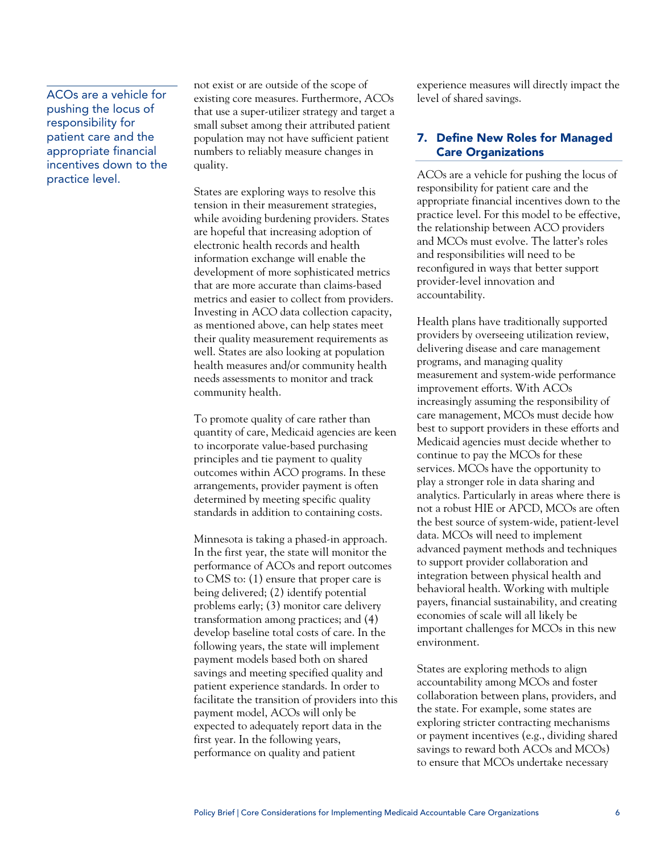#### ACOs are a vehicle for pushing the locus of responsibility for patient care and the appropriate financial incentives down to the practice level.

not exist or are outside of the scope of existing core measures. Furthermore, ACOs that use a super-utilizer strategy and target a small subset among their attributed patient population may not have sufficient patient numbers to reliably measure changes in quality.

States are exploring ways to resolve this tension in their measurement strategies, while avoiding burdening providers. States are hopeful that increasing adoption of electronic health records and health information exchange will enable the development of more sophisticated metrics that are more accurate than claims-based metrics and easier to collect from providers. Investing in ACO data collection capacity, as mentioned above, can help states meet their quality measurement requirements as well. States are also looking at population health measures and/or community health needs assessments to monitor and track community health.

To promote quality of care rather than quantity of care, Medicaid agencies are keen to incorporate value-based purchasing principles and tie payment to quality outcomes within ACO programs. In these arrangements, provider payment is often determined by meeting specific quality standards in addition to containing costs.

Minnesota is taking a phased-in approach. In the first year, the state will monitor the performance of ACOs and report outcomes to CMS to: (1) ensure that proper care is being delivered; (2) identify potential problems early; (3) monitor care delivery transformation among practices; and (4) develop baseline total costs of care. In the following years, the state will implement payment models based both on shared savings and meeting specified quality and patient experience standards. In order to facilitate the transition of providers into this payment model, ACOs will only be expected to adequately report data in the first year. In the following years, performance on quality and patient

experience measures will directly impact the level of shared savings.

#### 7. Define New Roles for Managed Care Organizations

ACOs are a vehicle for pushing the locus of responsibility for patient care and the appropriate financial incentives down to the practice level. For this model to be effective, the relationship between ACO providers and MCOs must evolve. The latter's roles and responsibilities will need to be reconfigured in ways that better support provider-level innovation and accountability.

Health plans have traditionally supported providers by overseeing utilization review, delivering disease and care management programs, and managing quality measurement and system-wide performance improvement efforts. With ACOs increasingly assuming the responsibility of care management, MCOs must decide how best to support providers in these efforts and Medicaid agencies must decide whether to continue to pay the MCOs for these services. MCOs have the opportunity to play a stronger role in data sharing and analytics. Particularly in areas where there is not a robust HIE or APCD, MCOs are often the best source of system-wide, patient-level data. MCOs will need to implement advanced payment methods and techniques to support provider collaboration and integration between physical health and behavioral health. Working with multiple payers, financial sustainability, and creating economies of scale will all likely be important challenges for MCOs in this new environment.

States are exploring methods to align accountability among MCOs and foster collaboration between plans, providers, and the state. For example, some states are exploring stricter contracting mechanisms or payment incentives (e.g., dividing shared savings to reward both ACOs and MCOs) to ensure that MCOs undertake necessary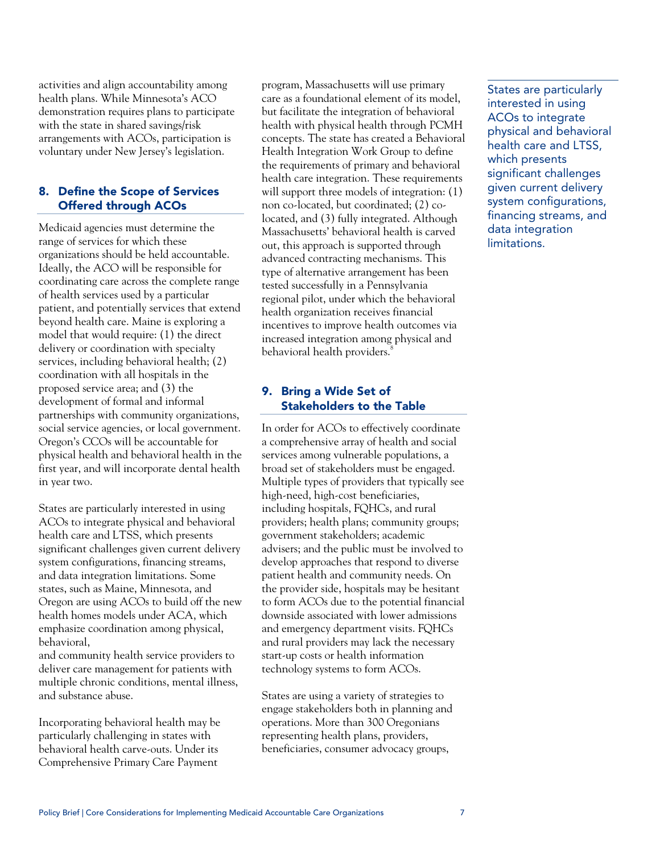activities and align accountability among health plans. While Minnesota's ACO demonstration requires plans to participate with the state in shared savings/risk arrangements with ACOs, participation is voluntary under New Jersey's legislation.

#### 8. Define the Scope of Services Offered through ACOs

Medicaid agencies must determine the range of services for which these organizations should be held accountable. Ideally, the ACO will be responsible for coordinating care across the complete range of health services used by a particular patient, and potentially services that extend beyond health care. Maine is exploring a model that would require: (1) the direct delivery or coordination with specialty services, including behavioral health; (2) coordination with all hospitals in the proposed service area; and (3) the development of formal and informal partnerships with community organizations, social service agencies, or local government. Oregon's CCOs will be accountable for physical health and behavioral health in the first year, and will incorporate dental health in year two.

States are particularly interested in using ACOs to integrate physical and behavioral health care and LTSS, which presents significant challenges given current delivery system configurations, financing streams, and data integration limitations. Some states, such as Maine, Minnesota, and Oregon are using ACOs to build off the new health homes models under ACA, which emphasize coordination among physical, behavioral,

and community health service providers to deliver care management for patients with multiple chronic conditions, mental illness, and substance abuse.

Incorporating behavioral health may be particularly challenging in states with behavioral health carve-outs. Under its Comprehensive Primary Care Payment

program, Massachusetts will use primary care as a foundational element of its model, but facilitate the integration of behavioral health with physical health through PCMH concepts. The state has created a Behavioral Health Integration Work Group to define the requirements of primary and behavioral health care integration. These requirements will support three models of integration:  $(1)$ non co-located, but coordinated; (2) colocated, and (3) fully integrated. Although Massachusetts' behavioral health is carved out, this approach is supported through advanced contracting mechanisms. This type of alternative arrangement has been tested successfully in a Pennsylvania regional pilot, under which the behavioral health organization receives financial incentives to improve health outcomes via increased integration among physical and behavioral health providers.<sup>8</sup>

#### 9. Bring a Wide Set of Stakeholders to the Table

In order for ACOs to effectively coordinate a comprehensive array of health and social services among vulnerable populations, a broad set of stakeholders must be engaged. Multiple types of providers that typically see high-need, high-cost beneficiaries, including hospitals, FQHCs, and rural providers; health plans; community groups; government stakeholders; academic advisers; and the public must be involved to develop approaches that respond to diverse patient health and community needs. On the provider side, hospitals may be hesitant to form ACOs due to the potential financial downside associated with lower admissions and emergency department visits. FQHCs and rural providers may lack the necessary start-up costs or health information technology systems to form ACOs.

States are using a variety of strategies to engage stakeholders both in planning and operations. More than 300 Oregonians representing health plans, providers, beneficiaries, consumer advocacy groups,

States are particularly interested in using ACOs to integrate physical and behavioral health care and LTSS, which presents significant challenges given current delivery system configurations, financing streams, and data integration limitations.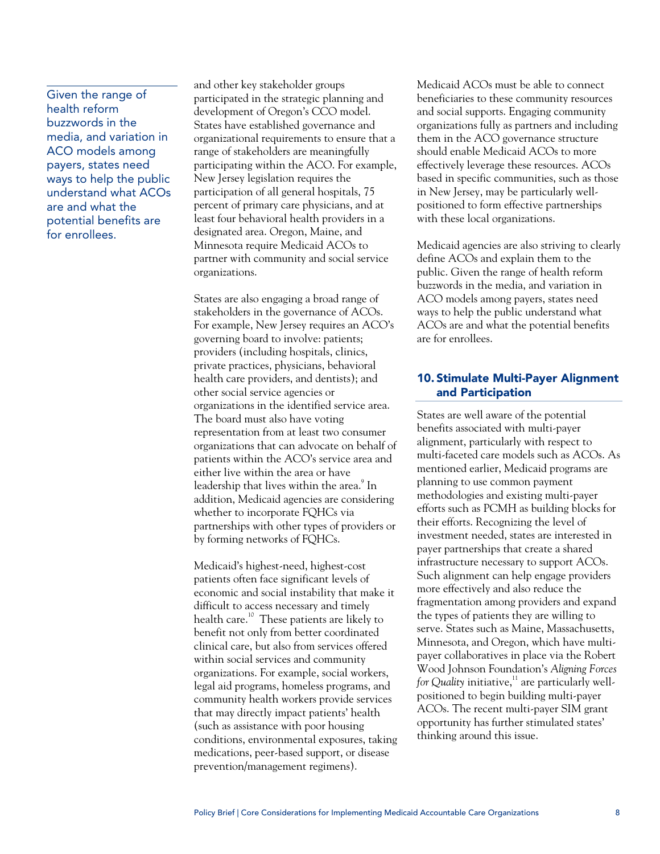Given the range of health reform buzzwords in the media, and variation in ACO models among payers, states need ways to help the public understand what ACOs are and what the potential benefits are for enrollees.

and other key stakeholder groups participated in the strategic planning and development of Oregon's CCO model. States have established governance and organizational requirements to ensure that a range of stakeholders are meaningfully participating within the ACO. For example, New Jersey legislation requires the participation of all general hospitals, 75 percent of primary care physicians, and at least four behavioral health providers in a designated area. Oregon, Maine, and Minnesota require Medicaid ACOs to partner with community and social service organizations.

States are also engaging a broad range of stakeholders in the governance of ACOs. For example, New Jersey requires an ACO's governing board to involve: patients; providers (including hospitals, clinics, private practices, physicians, behavioral health care providers, and dentists); and other social service agencies or organizations in the identified service area. The board must also have voting representation from at least two consumer organizations that can advocate on behalf of patients within the ACO's service area and either live within the area or have leadership that lives within the area.<sup>9</sup> In addition, Medicaid agencies are considering whether to incorporate FQHCs via partnerships with other types of providers or by forming networks of FQHCs.

Medicaid's highest-need, highest-cost patients often face significant levels of economic and social instability that make it difficult to access necessary and timely health care.<sup>10</sup> These patients are likely to benefit not only from better coordinated clinical care, but also from services offered within social services and community organizations. For example, social workers, legal aid programs, homeless programs, and community health workers provide services that may directly impact patients' health (such as assistance with poor housing conditions, environmental exposures, taking medications, peer-based support, or disease prevention/management regimens).

Medicaid ACOs must be able to connect beneficiaries to these community resources and social supports. Engaging community organizations fully as partners and including them in the ACO governance structure should enable Medicaid ACOs to more effectively leverage these resources. ACOs based in specific communities, such as those in New Jersey, may be particularly wellpositioned to form effective partnerships with these local organizations.

Medicaid agencies are also striving to clearly define ACOs and explain them to the public. Given the range of health reform buzzwords in the media, and variation in ACO models among payers, states need ways to help the public understand what ACOs are and what the potential benefits are for enrollees.

#### 10. Stimulate Multi-Payer Alignment and Participation

States are well aware of the potential benefits associated with multi-payer alignment, particularly with respect to multi-faceted care models such as ACOs. As mentioned earlier, Medicaid programs are planning to use common payment methodologies and existing multi-payer efforts such as PCMH as building blocks for their efforts. Recognizing the level of investment needed, states are interested in payer partnerships that create a shared infrastructure necessary to support ACOs. Such alignment can help engage providers more effectively and also reduce the fragmentation among providers and expand the types of patients they are willing to serve. States such as Maine, Massachusetts, Minnesota, and Oregon, which have multipayer collaboratives in place via the Robert Wood Johnson Foundation's *Aligning Forces for Quality* initiative, $11$  are particularly wellpositioned to begin building multi-payer ACOs. The recent multi-payer SIM grant opportunity has further stimulated states' thinking around this issue.